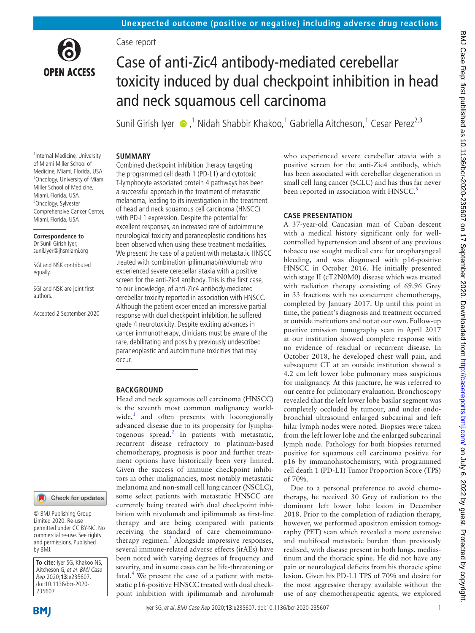

# Case of anti-Zic4 antibody-mediated cerebellar toxicity induced by dual checkpoint inhibition in head and neck squamous cell carcinoma

Sunil Girish Iyer  $\bullet$ ,<sup>1</sup> Nidah Shabbir Khakoo,<sup>1</sup> Gabriella Aitcheson,<sup>1</sup> Cesar Perez<sup>2,3</sup>

# **SUMMARY**

Case report

<sup>1</sup> Internal Medicine, University of Miami Miller School of Medicine, Miami, Florida, USA <sup>2</sup> Oncology, University of Miami Miller School of Medicine, Miami, Florida, USA <sup>3</sup>Oncology, Sylvester Comprehensive Cancer Center, Miami, Florida, USA

#### **Correspondence to**

Dr Sunil Girish Iyer; sunil.iyer@jhsmiami.org

SGI and NSK contributed equally.

SGI and NSK are joint first authors.

Accepted 2 September 2020

Combined checkpoint inhibition therapy targeting the programmed cell death 1 (PD-L1) and cytotoxic T-lymphocyte associated protein 4 pathways has been a successful approach in the treatment of metastatic melanoma, leading to its investigation in the treatment of head and neck squamous cell carcinoma (HNSCC) with PD-L1 expression. Despite the potential for excellent responses, an increased rate of autoimmune neurological toxicity and paraneoplastic conditions has been observed when using these treatment modalities. We present the case of a patient with metastatic HNSCC treated with combination ipilimumab/nivolumab who experienced severe cerebellar ataxia with a positive screen for the anti-Zic4 antibody. This is the first case, to our knowledge, of anti-Zic4 antibody-mediated cerebellar toxicity reported in association with HNSCC. Although the patient experienced an impressive partial response with dual checkpoint inhibition, he suffered grade 4 neurotoxicity. Despite exciting advances in cancer immunotherapy, clinicians must be aware of the rare, debilitating and possibly previously undescribed paraneoplastic and autoimmune toxicities that may occur.

### **BACKGROUND**

Head and neck squamous cell carcinoma (HNSCC) is the seventh most common malignancy worldwide, $\frac{1}{1}$  $\frac{1}{1}$  $\frac{1}{1}$  and often presents with locoregionally advanced disease due to its propensity for lymphatogenous spread.<sup>2</sup> In patients with metastatic, recurrent disease refractory to platinum-based chemotherapy, prognosis is poor and further treatment options have historically been very limited. Given the success of immune checkpoint inhibitors in other malignancies, most notably metastatic melanoma and non-small cell lung cancer (NSCLC), some select patients with metastatic HNSCC are currently being treated with dual checkpoint inhibition with nivolumab and ipilimumab as first-line therapy and are being compared with patients receiving the standard of care chemoimmunotherapy regimen. $3$  Alongside impressive responses, several immune-related adverse effects (irAEs) have been noted with varying degrees of frequency and severity, and in some cases can be life-threatening or fatal.<sup>4</sup> We present the case of a patient with metastatic p16-positive HNSCC treated with dual checkpoint inhibition with ipilimumab and nivolumab

who experienced severe cerebellar ataxia with a positive screen for the anti-Zic4 antibody, which has been associated with cerebellar degeneration in small cell lung cancer (SCLC) and has thus far never been reported in association with HNSCC.<sup>5</sup>

## **CASE PRESENTATION**

A 37-year-old Caucasian man of Cuban descent with a medical history significant only for wellcontrolled hypertension and absent of any previous tobacco use sought medical care for oropharyngeal bleeding, and was diagnosed with p16-positive HNSCC in October 2016. He initially presented with stage II (cT2N0M0) disease which was treated with radiation therapy consisting of 69.96 Grey in 33 fractions with no concurrent chemotherapy, completed by January 2017. Up until this point in time, the patient's diagnosis and treatment occurred at outside institutions and not at our own. Follow-up positive emission tomography scan in April 2017 at our institution showed complete response with no evidence of residual or recurrent disease. In October 2018, he developed chest wall pain, and subsequent CT at an outside institution showed a 4.2 cm left lower lobe pulmonary mass suspicious for malignancy. At this juncture, he was referred to our centre for pulmonary evaluation. Bronchoscopy revealed that the left lower lobe basilar segment was completely occluded by tumour, and under endobronchial ultrasound enlarged subcarinal and left hilar lymph nodes were noted. Biopsies were taken from the left lower lobe and the enlarged subcarinal lymph node. Pathology for both biopsies returned positive for squamous cell carcinoma positive for p16 by immunohistochemistry, with programmed cell death 1 (PD-L1) Tumor Proportion Score (TPS) of 70%.

Due to a personal preference to avoid chemotherapy, he received 30 Grey of radiation to the dominant left lower lobe lesion in December 2018. Prior to the completion of radiation therapy, however, we performed apositron emission tomography (PET) scan which revealed a more extensive and multifocal metastatic burden than previously realised, with disease present in both lungs, mediastinum and the thoracic spine. He did not have any pain or neurological deficits from his thoracic spine lesion. Given his PD-L1 TPS of 70% and desire for the most aggressive therapy available without the use of any chemotherapeutic agents, we explored

235607

by BMJ.

**To cite:** Iyer SG, Khakoo NS, Aitcheson G, et al. BMJ Case Rep 2020;**13**:e235607. doi:10.1136/bcr-2020-

© BMJ Publishing Group Limited 2020. Re-use permitted under CC BY-NC. No commercial re-use. See rights and permissions. Published

Check for updates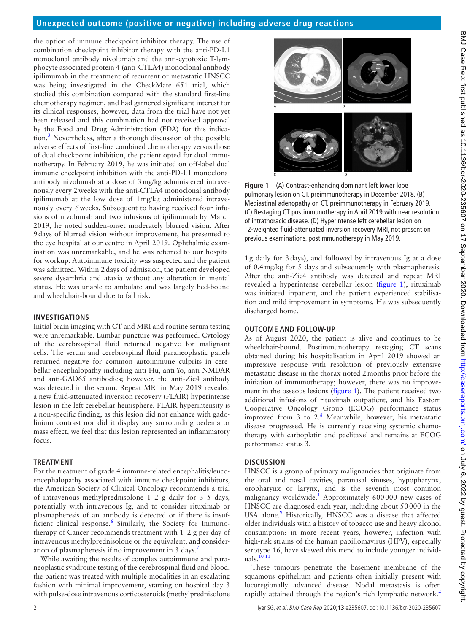the option of immune checkpoint inhibitor therapy. The use of combination checkpoint inhibitor therapy with the anti-PD-L1 monoclonal antibody nivolumab and the anti-cytotoxic T-lymphocyte associated protein 4 (anti-CTLA4) monoclonal antibody ipilimumab in the treatment of recurrent or metastatic HNSCC was being investigated in the CheckMate 651 trial, which studied this combination compared with the standard first-line chemotherapy regimen, and had garnered significant interest for its clinical responses; however, data from the trial have not yet been released and this combination had not received approval by the Food and Drug Administration (FDA) for this indica-tion.<sup>[3](#page-3-2)</sup> Nevertheless, after a thorough discussion of the possible adverse effects of first-line combined chemotherapy versus those of dual checkpoint inhibition, the patient opted for dual immunotherapy. In February 2019, he was initiated on off-label dual immune checkpoint inhibition with the anti-PD-L1 monoclonal antibody nivolumab at a dose of 3mg/kg administered intravenously every 2weeks with the anti-CTLA4 monoclonal antibody ipilimumab at the low dose of 1mg/kg administered intravenously every 6weeks. Subsequent to having received four infusions of nivolumab and two infusions of ipilimumab by March 2019, he noted sudden-onset moderately blurred vision. After 9days of blurred vision without improvement, he presented to the eye hospital at our centre in April 2019. Ophthalmic examination was unremarkable, and he was referred to our hospital for workup. Autoimmune toxicity was suspected and the patient was admitted. Within 2days of admission, the patient developed severe dysarthria and ataxia without any alteration in mental status. He was unable to ambulate and was largely bed-bound and wheelchair-bound due to fall risk.

## **INVESTIGATIONS**

Initial brain imaging with CT and MRI and routine serum testing were unremarkable. Lumbar puncture was performed. Cytology of the cerebrospinal fluid returned negative for malignant cells. The serum and cerebrospinal fluid paraneoplastic panels returned negative for common autoimmune culprits in cerebellar encephalopathy including anti-Hu, anti-Yo, anti-NMDAR and anti-GAD65 antibodies; however, the anti-Zic4 antibody was detected in the serum. Repeat MRI in May 2019 revealed a new fluid-attenuated inversion recovery (FLAIR) hyperintense lesion in the left cerebellar hemisphere. FLAIR hyperintensity is a non-specific finding; as this lesion did not enhance with gadolinium contrast nor did it display any surrounding oedema or mass effect, we feel that this lesion represented an inflammatory focus.

## **TREATMENT**

For the treatment of grade 4 immune-related encephalitis/leucoencephalopathy associated with immune checkpoint inhibitors, the American Society of Clinical Oncology recommends a trial of intravenous methylprednisolone 1–2 g daily for 3–5 days, potentially with intravenous Ig, and to consider rituximab or plasmapheresis of an antibody is detected or if there is insuf-ficient clinical response.<sup>[6](#page-3-5)</sup> Similarly, the Society for Immunotherapy of Cancer recommends treatment with 1–2 g per day of intravenous methylprednisolone or the equivalent, and consideration of plasmapheresis if no improvement in 3 days.<sup>7</sup>

While awaiting the results of complex autoimmune and paraneoplastic syndrome testing of the cerebrospinal fluid and blood, the patient was treated with multiple modalities in an escalating fashion with minimal improvement, starting on hospital day 3 with pulse-dose intravenous corticosteroids (methylprednisolone



<span id="page-1-0"></span>**Figure 1** (A) Contrast-enhancing dominant left lower lobe pulmonary lesion on CT, preimmunotherapy in December 2018. (B) Mediastinal adenopathy on CT, preimmunotherapy in February 2019. (C) Restaging CT postimmunotherapy in April 2019 with near resolution of intrathoracic disease. (D) Hyperintense left cerebellar lesion on T2-weighted fluid-attenuated inversion recovery MRI, not present on previous examinations, postimmunotherapy in May 2019.

1g daily for 3days), and followed by intravenous Ig at a dose of 0.4mg/kg for 5 days and subsequently with plasmapheresis. After the anti-Zic4 antibody was detected and repeat MRI revealed a hyperintense cerebellar lesion ([figure](#page-1-0) 1), rituximab was initiated inpatient, and the patient experienced stabilisation and mild improvement in symptoms. He was subsequently discharged home.

## **OUTCOME AND FOLLOW-UP**

As of August 2020, the patient is alive and continues to be wheelchair-bound. Postimmunotherapy restaging CT scans obtained during his hospitalisation in April 2019 showed an impressive response with resolution of previously extensive metastatic disease in the thorax noted 2months prior before the initiation of immunotherapy; however, there was no improvement in the osseous lesions ([figure](#page-1-0) 1). The patient received two additional infusions of rituximab outpatient, and his Eastern Cooperative Oncology Group (ECOG) performance status improved from 3 to  $2.8$  $2.8$  Meanwhile, however, his metastatic disease progressed. He is currently receiving systemic chemotherapy with carboplatin and paclitaxel and remains at ECOG performance status 3.

# **DISCUSSION**

HNSCC is a group of primary malignancies that originate from the oral and nasal cavities, paranasal sinuses, hypopharynx, oropharynx or larynx, and is the seventh most common malignancy worldwide.<sup>1</sup> Approximately 600000 new cases of HNSCC are diagnosed each year, including about 50000 in the USA alone.<sup>9</sup> Historically, HNSCC was a disease that affected older individuals with a history of tobacco use and heavy alcohol consumption; in more recent years, however, infection with high-risk strains of the human papillomavirus (HPV), especially serotype 16, have skewed this trend to include younger individuals. $10^{-11}$ 

These tumours penetrate the basement membrane of the squamous epithelium and patients often initially present with locoregionally advanced disease. Nodal metastasis is often rapidly attained through the region's rich lymphatic network.<sup>[2](#page-3-1)</sup>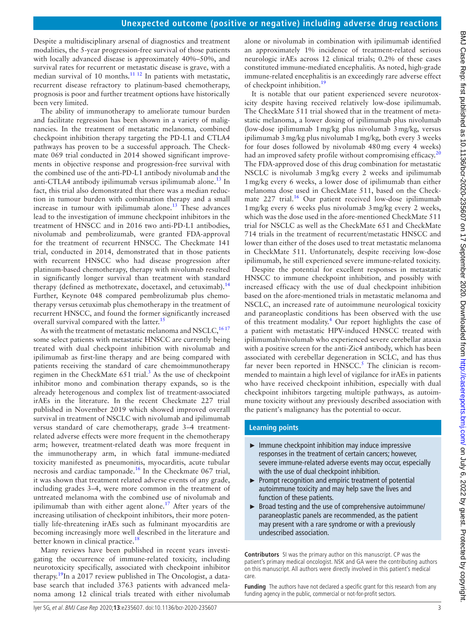Despite a multidisciplinary arsenal of diagnostics and treatment modalities, the 5-year progression-free survival of those patients with locally advanced disease is approximately 40%–50%, and survival rates for recurrent or metastatic disease is grave, with a median survival of 10 months.<sup>[11 12](#page-3-10)</sup> In patients with metastatic, recurrent disease refractory to platinum-based chemotherapy, prognosis is poor and further treatment options have historically been very limited.

The ability of immunotherapy to ameliorate tumour burden and facilitate regression has been shown in a variety of malignancies. In the treatment of metastatic melanoma, combined checkpoint inhibition therapy targeting the PD-L1 and CTLA4 pathways has proven to be a successful approach. The Checkmate 069 trial conducted in 2014 showed significant improvements in objective response and progression-free survival with the combined use of the anti-PD-L1 antibody nivolumab and the anti-CTLA4 antibody ipilimumab versus ipilimumab alone.<sup>13</sup> In fact, this trial also demonstrated that there was a median reduction in tumour burden with combination therapy and a small increase in tumour with ipilimumab alone.<sup>13</sup> These advances lead to the investigation of immune checkpoint inhibitors in the treatment of HNSCC and in 2016 two anti-PD-L1 antibodies, nivolumab and pembrolizumab, were granted FDA-approval for the treatment of recurrent HNSCC. The Checkmate 141 trial, conducted in 2014, demonstrated that in those patients with recurrent HNSCC who had disease progression after platinum-based chemotherapy, therapy with nivolumab resulted in significantly longer survival than treatment with standard therapy (defined as methotrexate, docetaxel, and cetuximab).<sup>[14](#page-3-12)</sup> Further, Keynote 048 compared pembrolizumab plus chemotherapy versus cetuximab plus chemotherapy in the treatment of recurrent HNSCC, and found the former significantly increased overall survival compared with the latter.<sup>[15](#page-3-13)</sup>

As with the treatment of metastatic melanoma and NSCLC, 1617 some select patients with metastatic HNSCC are currently being treated with dual checkpoint inhibition with nivolumab and ipilimumab as first-line therapy and are being compared with patients receiving the standard of care chemoimmunotherapy regimen in the CheckMate  $651$  trial.<sup>[3](#page-3-2)</sup> As the use of checkpoint inhibitor mono and combination therapy expands, so is the already heterogenous and complex list of treatment-associated irAEs in the literature. In the recent Checkmate 227 trial published in November 2019 which showed improved overall survival in treatment of NSCLC with nivolumab and ipilimumab versus standard of care chemotherapy, grade 3–4 treatmentrelated adverse effects were more frequent in the chemotherapy arm; however, treatment-related death was more frequent in the immunotherapy arm, in which fatal immune-mediated toxicity manifested as pneumonitis, myocarditis, acute tubular necrosis and cardiac tamponade.<sup>16</sup> In the Checkmate 067 trial, it was shown that treatment related adverse events of any grade, including grades 3–4, were more common in the treatment of untreated melanoma with the combined use of nivolumab and ipilimumab than with either agent alone.<sup>[17](#page-3-15)</sup> After years of the increasing utilisation of checkpoint inhibitors, their more potentially life-threatening irAEs such as fulminant myocarditis are becoming increasingly more well described in the literature and better known in clinical practice.<sup>[18](#page-3-16)</sup>

Many reviews have been published in recent years investigating the occurrence of immune-related toxicity, including neurotoxicity specifically, associated with checkpoint inhibitor therapy.<sup>[19](#page-3-17)</sup>In a 2017 review published in The Oncologist, a database search that included 3763 patients with advanced melanoma among 12 clinical trials treated with either nivolumab

alone or nivolumab in combination with ipilimumab identified an approximately 1% incidence of treatment‐related serious neurologic irAEs across 12 clinical trials; 0.2% of these cases constituted immune-mediated encephalitis. As noted, high-grade immune-related encephalitis is an exceedingly rare adverse effect of checkpoint inhibition.<sup>19</sup>

It is notable that our patient experienced severe neurotoxicity despite having received relatively low-dose ipilimumab. The CheckMate 511 trial showed that in the treatment of metastatic melanoma, a lower dosing of ipilimumab plus nivolumab (low-dose ipilimumab 1mg/kg plus nivolumab 3mg/kg, versus ipilimumab 3mg/kg plus nivolumab 1mg/kg, both every 3 weeks for four doses followed by nivolumab 480mg every 4 weeks) had an improved safety profile without compromising efficacy.<sup>[20](#page-3-18)</sup> The FDA-approved dose of this drug combination for metastatic NSCLC is nivolumab 3mg/kg every 2 weeks and ipilimumab 1mg/kg every 6 weeks, a lower dose of ipilimumab than either melanoma dose used in CheckMate 511, based on the Check-mate 227 trial.<sup>[16](#page-3-14)</sup> Our patient received low-dose ipilimumab 1mg/kg every 6 weeks plus nivolumab 3mg/kg every 2 weeks, which was the dose used in the afore-mentioned CheckMate 511 trial for NSCLC as well as the CheckMate 651 and CheckMate 714 trials in the treatment of recurrent/metastatic HNSCC and lower than either of the doses used to treat metastatic melanoma in CheckMate 511. Unfortunately, despite receiving low-dose ipilimumab, he still experienced severe immune-related toxicity.

Despite the potential for excellent responses in metastatic HNSCC to immune checkpoint inhibition, and possibly with increased efficacy with the use of dual checkpoint inhibition based on the afore-mentioned trials in metastatic melanoma and NSCLC, an increased rate of autoimmune neurological toxicity and paraneoplastic conditions has been observed with the use of this treatment modality.<sup>[4](#page-3-3)</sup> Our report highlights the case of a patient with metastatic HPV-induced HNSCC treated with ipilimumab/nivolumab who experienced severe cerebellar ataxia with a positive screen for the anti-Zic4 antibody, which has been associated with cerebellar degeneration in SCLC, and has thus far never been reported in HNSCC. $<sup>5</sup>$  $<sup>5</sup>$  $<sup>5</sup>$  The clinician is recom-</sup> mended to maintain a high level of vigilance for irAEs in patients who have received checkpoint inhibition, especially with dual checkpoint inhibitors targeting multiple pathways, as autoimmune toxicity without any previously described association with the patient's malignancy has the potential to occur.

## **Learning points**

- ► Immune checkpoint inhibition may induce impressive responses in the treatment of certain cancers; however, severe immune-related adverse events may occur, especially with the use of dual checkpoint inhibition.
- ► Prompt recognition and empiric treatment of potential autoimmune toxicity and may help save the lives and function of these patients.
- ► Broad testing and the use of comprehensive autoimmune/ paraneoplastic panels are recommended, as the patient may present with a rare syndrome or with a previously undescribed association.

**Contributors** SI was the primary author on this manuscript. CP was the patient's primary medical oncologist. NSK and GA were the contributing authors on this manuscript. All authors were directly involved in this patient's medical care.

**Funding** The authors have not declared a specific grant for this research from any funding agency in the public, commercial or not-for-profit sectors.